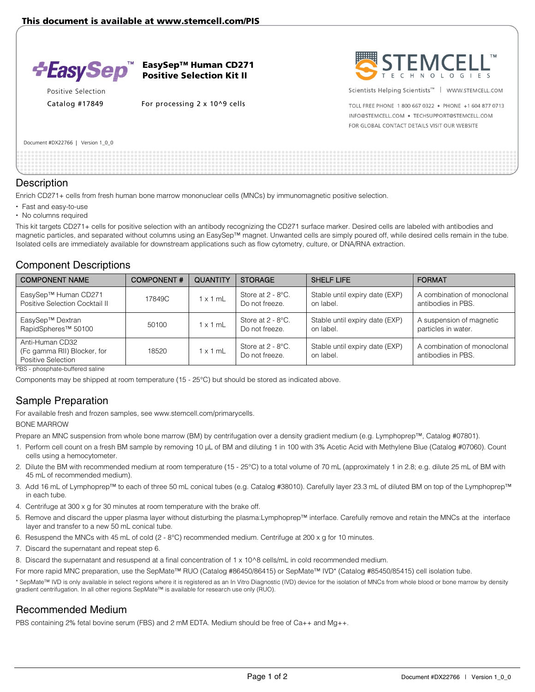

EasySep™ Human CD271 Positive Selection Kit II

Positive Selection

Catalog #17849 For processing 2 x 10^9 cells



Scientists Helping Scientists<sup>™</sup> | WWW.STEMCELL.COM

TOLL FREE PHONE 1 800 667 0322 . PHONE +1 604 877 0713 INFO@STEMCELL.COM . TECHSUPPORT@STEMCELL.COM FOR GLOBAL CONTACT DETAILS VISIT OUR WEBSITE

Document #DX22766 | Version 1\_0\_0

#### **Description**

Enrich CD271+ cells from fresh human bone marrow mononuclear cells (MNCs) by immunomagnetic positive selection.

- Fast and easy-to-use
- No columns required

This kit targets CD271+ cells for positive selection with an antibody recognizing the CD271 surface marker. Desired cells are labeled with antibodies and magnetic particles, and separated without columns using an EasySep™ magnet. Unwanted cells are simply poured off, while desired cells remain in the tube. Isolated cells are immediately available for downstream applications such as flow cytometry, culture, or DNA/RNA extraction.

### Component Descriptions

| <b>COMPONENT NAME</b>                                                | <b>COMPONENT#</b> | <b>QUANTITY</b> | <b>STORAGE</b>                         | <b>SHELF LIFE</b>                           | <b>FORMAT</b>                                     |
|----------------------------------------------------------------------|-------------------|-----------------|----------------------------------------|---------------------------------------------|---------------------------------------------------|
| EasySep™ Human CD271<br>Positive Selection Cocktail II               | 17849C            | x 1 mL          | Store at $2 - 8$ °C.<br>Do not freeze. | Stable until expiry date (EXP)<br>on label. | A combination of monoclonal<br>antibodies in PBS. |
| EasySep™ Dextran<br>RapidSpheres <sup>™</sup> 50100                  | 50100             | x 1 mL          | Store at 2 - 8°C.<br>Do not freeze.    | Stable until expiry date (EXP)<br>on label. | A suspension of magnetic<br>particles in water.   |
| Anti-Human CD32<br>(Fc gamma RII) Blocker, for<br>Positive Selection | 18520             | $x 1$ mL        | Store at $2 - 8$ °C.<br>Do not freeze. | Stable until expiry date (EXP)<br>on label. | A combination of monoclonal<br>antibodies in PBS. |

PBS - phosphate-buffered saline

Components may be shipped at room temperature (15 - 25°C) but should be stored as indicated above.

# Sample Preparation

For available fresh and frozen samples, see www.stemcell.com/primarycells.

#### BONE MARROW

Prepare an MNC suspension from whole bone marrow (BM) by centrifugation over a density gradient medium (e.g. Lymphoprep™, Catalog #07801).

- 1. Perform cell count on a fresh BM sample by removing 10 µL of BM and diluting 1 in 100 with 3% Acetic Acid with Methylene Blue (Catalog #07060). Count cells using a hemocytometer.
- 2. Dilute the BM with recommended medium at room temperature (15 25°C) to a total volume of 70 mL (approximately 1 in 2.8; e.g. dilute 25 mL of BM with 45 mL of recommended medium).
- 3. Add 16 mL of Lymphoprep™ to each of three 50 mL conical tubes (e.g. Catalog #38010). Carefully layer 23.3 mL of diluted BM on top of the Lymphoprep™ in each tube.
- 4. Centrifuge at 300 x g for 30 minutes at room temperature with the brake off.
- 5. Remove and discard the upper plasma layer without disturbing the plasma:Lymphoprep™ interface. Carefully remove and retain the MNCs at the interface layer and transfer to a new 50 mL conical tube.
- 6. Resuspend the MNCs with 45 mL of cold (2 8°C) recommended medium. Centrifuge at 200 x g for 10 minutes.
- 7. Discard the supernatant and repeat step 6.

8. Discard the supernatant and resuspend at a final concentration of 1 x 10^8 cells/mL in cold recommended medium.

For more rapid MNC preparation, use the SepMate™ RUO (Catalog #86450/86415) or SepMate™ IVD\* (Catalog #85450/85415) cell isolation tube.

\* SepMate™ IVD is only available in select regions where it is registered as an In Vitro Diagnostic (IVD) device for the isolation of MNCs from whole blood or bone marrow by density gradient centrifugation. In all other regions SepMate™ is available for research use only (RUO).

## Recommended Medium

PBS containing 2% fetal bovine serum (FBS) and 2 mM EDTA. Medium should be free of Ca++ and Mg++.